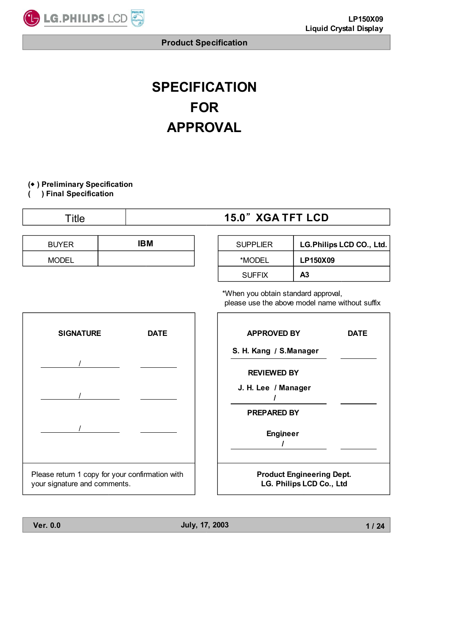

# **SPECIFICATION FOR APPROVAL**

#### **( ) Preliminary Specification** Ⴗ

**( ) Final Specification**

| ⊺itle        |     | <b>15.0" XGA TFT LCD</b> |                 |                          |  |
|--------------|-----|--------------------------|-----------------|--------------------------|--|
|              |     |                          |                 |                          |  |
| <b>BUYER</b> | IBM |                          | <b>SUPPLIER</b> | LG.Philips LCD CO., Ltd. |  |
| <b>MODEL</b> |     |                          | *MODEL          | LP150X09                 |  |
|              |     |                          | <b>SUFFIX</b>   | A <sub>3</sub>           |  |

\*When you obtain standard approval, please use the above model name without suffix



| <b>Ver. 0.0</b> | July, 17, 2003 |  |
|-----------------|----------------|--|
|                 |                |  |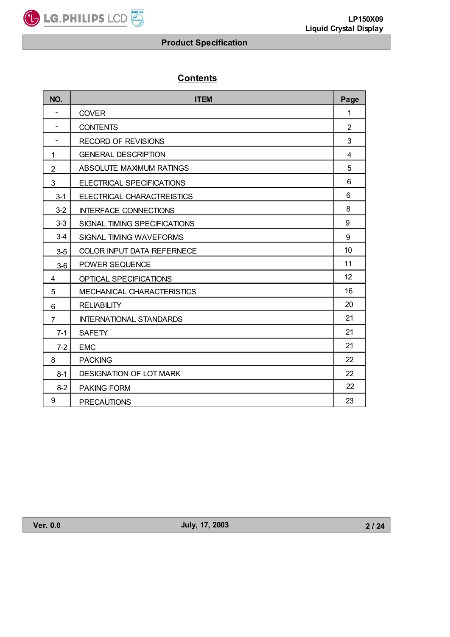LG.PHILIPS LCD

# **Contents**

| NO.                      | <b>ITEM</b>                    | Page            |
|--------------------------|--------------------------------|-----------------|
| $\overline{\phantom{a}}$ | <b>COVER</b>                   | 1               |
| $\overline{\phantom{a}}$ | <b>CONTENTS</b>                | $\overline{2}$  |
| $\overline{\phantom{a}}$ | <b>RECORD OF REVISIONS</b>     | 3               |
| 1                        | <b>GENERAL DESCRIPTION</b>     | 4               |
| $\overline{2}$           | ABSOLUTE MAXIMUM RATINGS       | 5               |
| 3                        | ELECTRICAL SPECIFICATIONS      | 6               |
| $3 - 1$                  | ELECTRICAL CHARACTREISTICS     | 6               |
| $3-2$                    | <b>INTERFACE CONNECTIONS</b>   | 8               |
| $3-3$                    | SIGNAL TIMING SPECIFICATIONS   | 9               |
| $3-4$                    | SIGNAL TIMING WAVEFORMS        | 9               |
| $3-5$                    | COLOR INPUT DATA REFERNECE     | 10              |
| $3-6$                    | POWER SEQUENCE                 | 11              |
| 4                        | OPTICAL SPECIFICATIONS         | 12 <sup>2</sup> |
| 5                        | MECHANICAL CHARACTERISTICS     | 16              |
| 6                        | <b>RELIABILITY</b>             | 20              |
| $\overline{7}$           | <b>INTERNATIONAL STANDARDS</b> | 21              |
| $7-1$                    | <b>SAFETY</b>                  | 21              |
| $7-2$                    | <b>EMC</b>                     | 21              |
| 8                        | <b>PACKING</b>                 | 22              |
| $8-1$                    | DESIGNATION OF LOT MARK        | 22              |
| $8 - 2$                  | <b>PAKING FORM</b>             | 22              |
| 9                        | <b>PRECAUTIONS</b>             | 23              |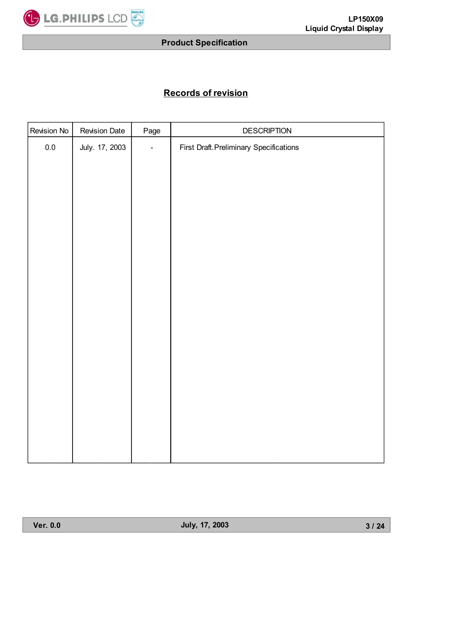

# **Records of revision**

| Revision No | <b>Revision Date</b> | Page           | DESCRIPTION                                    |
|-------------|----------------------|----------------|------------------------------------------------|
| $0.0\,$     | July. 17, 2003       | $\blacksquare$ | <b>First Draft. Preliminary Specifications</b> |
|             |                      |                |                                                |
|             |                      |                |                                                |
|             |                      |                |                                                |
|             |                      |                |                                                |
|             |                      |                |                                                |
|             |                      |                |                                                |
|             |                      |                |                                                |
|             |                      |                |                                                |
|             |                      |                |                                                |
|             |                      |                |                                                |
|             |                      |                |                                                |
|             |                      |                |                                                |
|             |                      |                |                                                |
|             |                      |                |                                                |
|             |                      |                |                                                |
|             |                      |                |                                                |
|             |                      |                |                                                |
|             |                      |                |                                                |
|             |                      |                |                                                |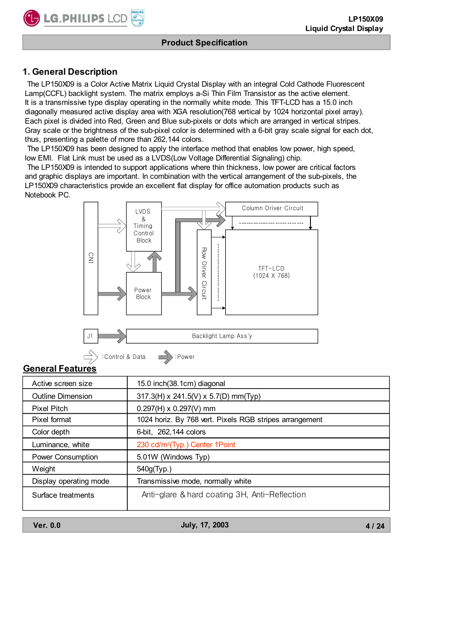# **1. General Description**

LG.PHILIPS LCD

 The LP150X09 is a Color Active Matrix Liquid Crystal Display with an integral Cold Cathode Fluorescent Lamp(CCFL) backlight system. The matrix employs a-Si Thin Film Transistor as the active element. It is a transmissive type display operating in the normally white mode. This TFT-LCD has a 15.0 inch diagonally measured active display area with XGA resolution(768 vertical by 1024 horizontal pixel array). Each pixel is divided into Red, Green and Blue sub-pixels or dots which are arranged in vertical stripes. Gray scale or the brightness of the sub-pixel color is determined with a 6-bit gray scale signal for each dot, thus, presenting a palette of more than 262,144 colors.

 The LP150X09 has been designed to apply the interface method that enables low power, high speed, low EMI. Flat Link must be used as a LVDS(Low Voltage Differential Signaling) chip.

 The LP150X09 is intended to support applications where thin thickness, low power are critical factors and graphic displays are important. In combination with the vertical arrangement of the sub-pixels, the LP150X09 characteristics provide an excellent flat display for office automation products such as Notebook PC.





# **General Features**

| Active screen size       | 15.0 inch(38.1cm) diagonal                              |
|--------------------------|---------------------------------------------------------|
| <b>Outline Dimension</b> | $317.3$ (H) x 241.5(V) x 5.7(D) mm(Typ)                 |
| <b>Pixel Pitch</b>       | $0.297(H) \times 0.297(V)$ mm                           |
| Pixel format             | 1024 horiz. By 768 vert. Pixels RGB stripes arrangement |
| Color depth              | 6-bit, 262, 144 colors                                  |
| Luminance, white         | 230 cd/m <sup>2</sup> (Typ.) Center 1Point              |
| <b>Power Consumption</b> | 5.01W (Windows Typ)                                     |
| Weight                   | 540g(Typ.)                                              |
| Display operating mode   | Transmissive mode, normally white                       |
| Surface treatments       | Anti-glare & hard coating 3H, Anti-Reflection           |
|                          |                                                         |

**Ver. 0.0 July, 17, 2003**

**4 / 24**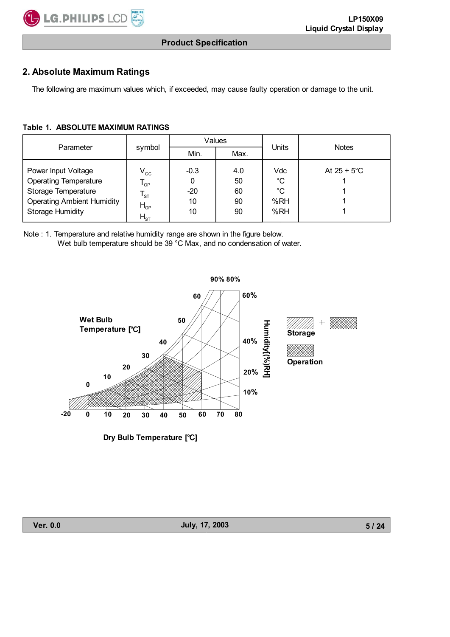# **2. Absolute Maximum Ratings**

The following are maximum values which, if exceeded, may cause faulty operation or damage to the unit.

#### **Table 1. ABSOLUTE MAXIMUM RATINGS**

|                                                                                                                                            |                                                                     | Values                           |                             |                                        |                         |  |
|--------------------------------------------------------------------------------------------------------------------------------------------|---------------------------------------------------------------------|----------------------------------|-----------------------------|----------------------------------------|-------------------------|--|
| Parameter                                                                                                                                  | symbol                                                              | Min.                             | Max.                        | Units                                  | <b>Notes</b>            |  |
| Power Input Voltage<br><b>Operating Temperature</b><br>Storage Temperature<br><b>Operating Ambient Humidity</b><br><b>Storage Humidity</b> | $V_{cc}$<br>$T_{\text{OP}}$<br>$T_{\rm ST}$<br>$H_{OP}$<br>$H_{ST}$ | $-0.3$<br>0<br>$-20$<br>10<br>10 | 4.0<br>50<br>60<br>90<br>90 | Vdc<br>$^{\circ}C$<br>°C<br>%RH<br>%RH | At $25 \pm 5^{\circ}$ C |  |

Note : 1. Temperature and relative humidity range are shown in the figure below. Wet bulb temperature should be 39 °C Max, and no condensation of water.

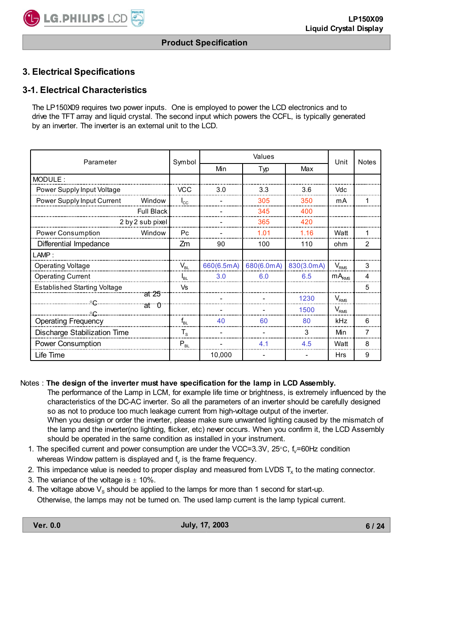# **3. Electrical Specifications**

# **3-1. Electrical Characteristics**

The LP150X09 requires two power inputs. One is employed to power the LCD electronics and to drive the TFT array and liquid crystal. The second input which powers the CCFL, is typically generated by an inverter. The inverter is an external unit to the LCD.

| Parameter                            | Symbol       |            | Unit       | <b>Notes</b> |                   |   |
|--------------------------------------|--------------|------------|------------|--------------|-------------------|---|
|                                      |              | Min        | Typ        | Max          |                   |   |
| MODULE:                              |              |            |            |              |                   |   |
| Power Supply Input Voltage           | <b>VCC</b>   | 3.0        | 3.3        | 3.6          | Vdc               |   |
| Power Supply Input Current<br>Window | $I_{\rm CC}$ |            | 305        | 350          | mA                |   |
| <b>Full Black</b>                    |              |            | 345        | 400          |                   |   |
| 2 by 2 sub pixel                     |              |            | 365        | 420          |                   |   |
| Power Consumption<br>Window          | Pc           |            | 1.01       | 1.16         | Watt              |   |
| Differential Impedance               | Ζm           | 90         | 100        | 110          | ohm               | 2 |
| LAMP:                                |              |            |            |              |                   |   |
| Operating Voltage                    | $V_{BL}$     | 660(6.5mA) | 680(6.0mA) | 830(3.0mA)   | $V_{RMS}$         | 3 |
| <b>Operating Current</b>             | $I_{BL}$     | 3.0        | 6.0        | 6.5          | mA <sub>RMS</sub> | 4 |
| <b>Established Starting Voltage</b>  | Vs           |            |            |              |                   | 5 |
| at 25                                |              |            |            | 1230         | $V_{RMS}$         |   |
| at $\theta$<br>°€.                   |              |            |            | 1500         | $V_{RMS}$         |   |
| <b>Operating Frequency</b>           | $f_{BL}$     | 40         | 60         | 80           | kHz               | 6 |
| Discharge Stabilization Time         | $T_{\rm s}$  |            |            | 3            | Min               | 7 |
| Power Consumption                    | $P_{BL}$     |            | 4.1        | 4.5          | Watt              | 8 |
| Life Time                            |              | 10,000     |            |              | <b>Hrs</b>        | 9 |

#### Notes : **The design of the inverter must have specification for the lamp in LCD Assembly.**

 The performance of the Lamp in LCM, for example life time or brightness, is extremely influenced by the characteristics of the DC-AC inverter. So all the parameters of an inverter should be carefully designed so as not to produce too much leakage current from high-voltage output of the inverter. When you design or order the inverter, please make sure unwanted lighting caused by the mismatch of the lamp and the inverter(no lighting, flicker, etc) never occurs. When you confirm it, the LCD Assembly should be operated in the same condition as installed in your instrument.

- 1. The specified current and power consumption are under the VCC=3.3V, 25 $\degree$ C, f<sub>v</sub>=60Hz condition whereas Window pattern is displayed and  $f_{\nu}$  is the frame frequency.
- 2. This impedance value is needed to proper display and measured from LVDS  $T_x$  to the mating connector.
- 3. The variance of the voltage is  $\pm$  10%.
- 4. The voltage above  $V_s$  should be applied to the lamps for more than 1 second for start-up.
- Otherwise, the lamps may not be turned on. The used lamp current is the lamp typical current.

**6 / 24**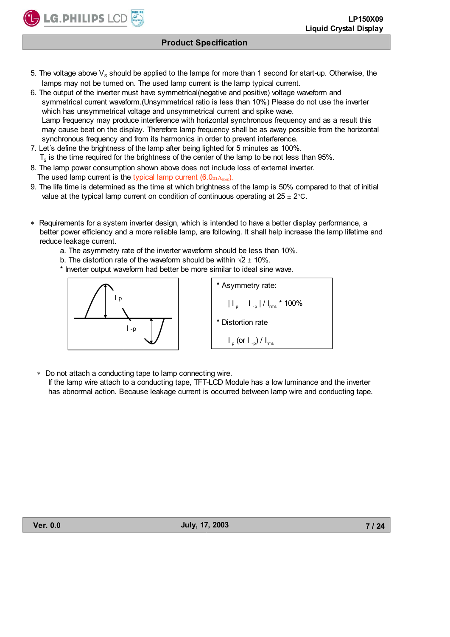- 5. The voltage above  $V_s$  should be applied to the lamps for more than 1 second for start-up. Otherwise, the lamps may not be turned on. The used lamp current is the lamp typical current.
- 6. The output of the inverter must have symmetrical(negative and positive) voltage waveform and symmetrical current waveform.(Unsymmetrical ratio is less than 10%) Please do not use the inverter which has unsymmetrical voltage and unsymmetrical current and spike wave. Lamp frequency may produce interference with horizontal synchronous frequency and as a result this may cause beat on the display. Therefore lamp frequency shall be as away possible from the horizontal synchronous frequency and from its harmonics in order to prevent interference.
- 7. Let's define the brightness of the lamp after being lighted for 5 minutes as 100%.  $T<sub>s</sub>$  is the time required for the brightness of the center of the lamp to be not less than 95%.
- 8. The lamp power consumption shown above does not include loss of external inverter. The used lamp current is the typical lamp current  $(6.0<sub>mA<sub>RMS</sub></sub>)$ .
- 9. The life time is determined as the time at which brightness of the lamp is 50% compared to that of initial value at the typical lamp current on condition of continuous operating at  $25 \pm 2^{\circ}$ C.
- Requirements for a system inverter design, which is intended to have a better display performance, a better power efficiency and a more reliable lamp, are following. It shall help increase the lamp lifetime and reduce leakage current.
	- a. The asymmetry rate of the inverter waveform should be less than 10%.
	- b. The distortion rate of the waveform should be within  $\sqrt{2} \pm 10\%$ .
	- \* Inverter output waveform had better be more similar to ideal sine wave.



**LG.PHILIPS LCD** 

| * Asymmetry rate:                 |
|-----------------------------------|
| $ I_{p} - I_{-p} /I_{rms}$ * 100% |
| * Distortion rate                 |
| $I_p$ (or $I_{-p}$ ) / $I_{rms}$  |

Do not attach a conducting tape to lamp connecting wire.

 If the lamp wire attach to a conducting tape, TFT-LCD Module has a low luminance and the inverter has abnormal action. Because leakage current is occurred between lamp wire and conducting tape.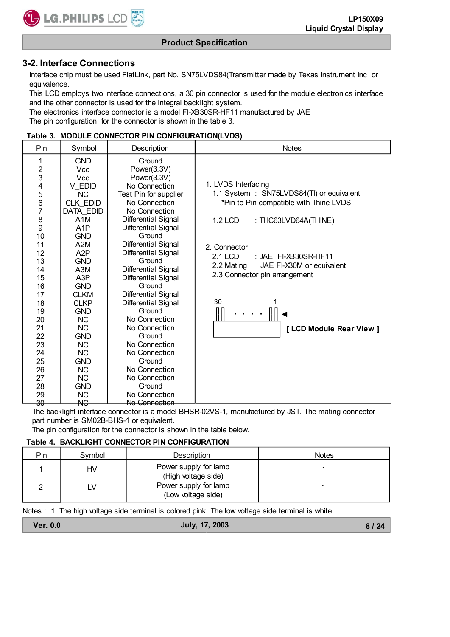#### **3-2. Interface Connections**

LG.PHILIPS LCD

 Interface chip must be used FlatLink, part No. SN75LVDS84(Transmitter made by Texas Instrument Inc or equivalence.

 This LCD employs two interface connections, a 30 pin connector is used for the module electronics interface and the other connector is used for the integral backlight system.

 The electronics interface connector is a model FI-XB30SR-HF11 manufactured by JAE The pin configuration for the connector is shown in the table 3.

#### **Table 3. MODULE CONNECTOR PIN CONFIGURATION(LVDS)**

| Pin                                                                                                                                                                                      | Symbol                                                                                                                                                                                                                                                                                                                                                     | Description                                                                                                                                                                                                                                                                                                                                                                                                                                                                          | <b>Notes</b>                                                                                                                                                                                                                                                                                                          |
|------------------------------------------------------------------------------------------------------------------------------------------------------------------------------------------|------------------------------------------------------------------------------------------------------------------------------------------------------------------------------------------------------------------------------------------------------------------------------------------------------------------------------------------------------------|--------------------------------------------------------------------------------------------------------------------------------------------------------------------------------------------------------------------------------------------------------------------------------------------------------------------------------------------------------------------------------------------------------------------------------------------------------------------------------------|-----------------------------------------------------------------------------------------------------------------------------------------------------------------------------------------------------------------------------------------------------------------------------------------------------------------------|
| 1<br>$\overline{\mathbf{c}}$<br>3<br>4<br>5<br>$\frac{6}{7}$<br>8<br>9<br>10<br>11<br>12<br>13<br>14<br>15<br>16<br>17<br>18<br>19<br>20<br>21<br>22<br>23<br>24<br>25<br>26<br>27<br>28 | <b>GND</b><br><b>Vcc</b><br><b>Vcc</b><br>V EDID<br>NC<br>CLK EDID<br>DATA EDID<br>A <sub>1</sub> M<br>A1P<br><b>GND</b><br>A2M<br>A2P<br><b>GND</b><br>A3M<br>A <sub>3</sub> P<br><b>GND</b><br><b>CLKM</b><br><b>CLKP</b><br><b>GND</b><br><b>NC</b><br><b>NC</b><br><b>GND</b><br><b>NC</b><br><b>NC</b><br><b>GND</b><br><b>NC</b><br>NC<br><b>GND</b> | Ground<br>Power(3.3V)<br>Power(3.3V)<br>No Connection<br>Test Pin for supplier<br>No Connection<br>No Connection<br>Differential Signal<br>Differential Signal<br>Ground<br>Differential Signal<br>Differential Signal<br>Ground<br>Differential Signal<br>Differential Signal<br>Ground<br>Differential Signal<br>Differential Signal<br>Ground<br>No Connection<br>No Connection<br>Ground<br>No Connection<br>No Connection<br>Ground<br>No Connection<br>No Connection<br>Ground | 1. LVDS Interfacing<br>1.1 System : SN75LVDS84(TI) or equivalent<br>*Pin to Pin compatible with Thine LVDS<br><b>1.2 LCD</b><br>: THC63LVD64A(THINE)<br>2. Connector<br>2.1 LCD<br>: JAE FI-XB30SR-HF11<br>: JAE FI-X30M or equivalent<br>2.2 Mating<br>2.3 Connector pin arrangement<br>30<br>[LCD Module Rear View] |
| 29<br>$\overline{30}$                                                                                                                                                                    | <b>NC</b><br>$\overline{\text{AC}}$                                                                                                                                                                                                                                                                                                                        | No Connection<br><del>No Connection</del>                                                                                                                                                                                                                                                                                                                                                                                                                                            |                                                                                                                                                                                                                                                                                                                       |

The backlight interface connector is a model BHSR-02VS-1, manufactured by JST. The mating connector part number is SM02B-BHS-1 or equivalent.

The pin configuration for the connector is shown in the table below.

#### **Table 4. BACKLIGHT CONNECTOR PIN CONFIGURATION**

| Pin | Symbol | Description                                  | <b>Notes</b> |
|-----|--------|----------------------------------------------|--------------|
|     | HV     | Power supply for lamp<br>(High voltage side) |              |
|     | ∟V     | Power supply for lamp<br>(Low voltage side)  |              |

Notes : 1. The high voltage side terminal is colored pink. The low voltage side terminal is white.

| <b>Ver. 0.0</b> | July, 17, 2003 | 8/24 |
|-----------------|----------------|------|
|                 |                |      |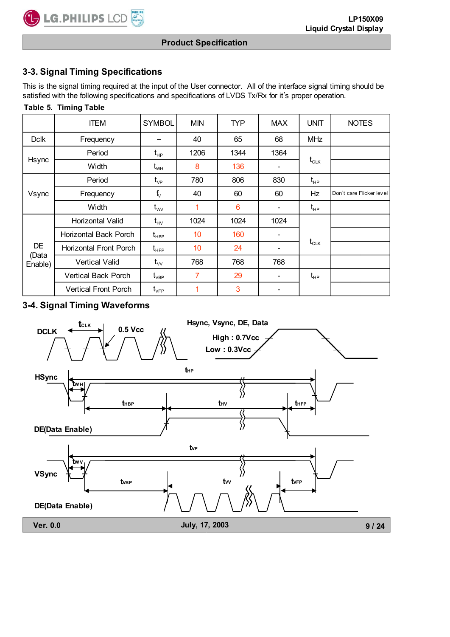# **3-3. Signal Timing Specifications**

**C** LG. PHILIPS LCD

This is the signal timing required at the input of the User connector. All of the interface signal timing should be satisfied with the following specifications and specifications of LVDS Tx/Rx for it's proper operation.

|                               | Table 5. Timing Table       |                                                                 |            |      |                          |                                  |                          |  |  |
|-------------------------------|-----------------------------|-----------------------------------------------------------------|------------|------|--------------------------|----------------------------------|--------------------------|--|--|
|                               | <b>ITEM</b>                 | <b>SYMBOL</b>                                                   | <b>MIN</b> | TYP. | <b>MAX</b>               | <b>UNIT</b>                      | <b>NOTES</b>             |  |  |
| <b>Dclk</b>                   | Frequency                   |                                                                 | 40         | 65   | 68                       | <b>MHz</b>                       |                          |  |  |
|                               | Period                      | $t_{HP}$                                                        | 1206       | 1344 | 1364                     |                                  |                          |  |  |
| Hsync                         | Width                       | $\mathfrak{t}_{\scriptscriptstyle\rm WH}$                       | 8          | 136  |                          | $t_{CLK}$                        |                          |  |  |
|                               | Period                      | $t_{\rm VP}$                                                    | 780        | 806  | 830                      | $t_{HP}$                         |                          |  |  |
| Vsync                         | Frequency                   | $f_v$                                                           | 40         | 60   | 60                       | Hz                               | Don't care Flicker level |  |  |
|                               | Width                       | $t_{\rm ww}$                                                    | 1          | 6    | $\overline{\phantom{0}}$ | $\mathsf{t}_{\textsf{HP}}$       |                          |  |  |
|                               | Horizontal Valid            | $t_{\rm HV}$                                                    | 1024       | 1024 | 1024                     |                                  |                          |  |  |
|                               | Horizontal Back Porch       | $\mathsf{t}_{\scriptscriptstyle\mathsf{H}\mathsf{B}\mathsf{P}}$ | 10         | 160  |                          |                                  |                          |  |  |
| <b>DE</b><br>(Data<br>Enable) | Horizontal Front Porch      | $\mathfrak{t}_{\scriptscriptstyle \sf{HFP}}$                    | 10         | 24   | -                        | $t_{CLK}$                        |                          |  |  |
|                               | <b>Vertical Valid</b>       | $t_{\rm vv}$                                                    | 768        | 768  | 768                      |                                  |                          |  |  |
|                               | <b>Vertical Back Porch</b>  | $\mathsf{t}_{\mathsf{vBP}}$                                     | 7          | 29   |                          | $\mathfrak{t}_{\text{\tiny HP}}$ |                          |  |  |
|                               | <b>Vertical Front Porch</b> | $\rm t_{\rm VFP}$                                               | 1          | 3    |                          |                                  |                          |  |  |

# **3-4. Signal Timing Waveforms**

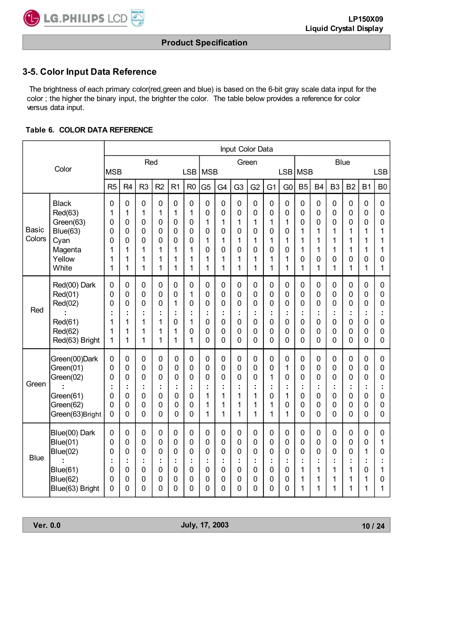# **3-5. Color Input Data Reference**

 The brightness of each primary color(red,green and blue) is based on the 6-bit gray scale data input for the color ; the higher the binary input, the brighter the color. The table below provides a reference for color versus data input.

#### **Table 6. COLOR DATA REFERENCE**

|                        |                                                                                                | Input Color Data                     |                                                     |                                      |                                            |                                      |                                      |                                                |                                      |                                              |                                                                                            |                                      |                                                        |                                      |                                                     |                                              |                                                                               |                                      |                                      |
|------------------------|------------------------------------------------------------------------------------------------|--------------------------------------|-----------------------------------------------------|--------------------------------------|--------------------------------------------|--------------------------------------|--------------------------------------|------------------------------------------------|--------------------------------------|----------------------------------------------|--------------------------------------------------------------------------------------------|--------------------------------------|--------------------------------------------------------|--------------------------------------|-----------------------------------------------------|----------------------------------------------|-------------------------------------------------------------------------------|--------------------------------------|--------------------------------------|
|                        | Color                                                                                          | <b>MSB</b>                           |                                                     | Red                                  |                                            |                                      | <b>LSB</b>                           | <b>MSB</b>                                     |                                      | Green                                        |                                                                                            |                                      |                                                        | LSB MSB                              |                                                     |                                              | <b>Blue</b>                                                                   |                                      | <b>LSB</b>                           |
|                        |                                                                                                |                                      | R <sub>4</sub>                                      | R <sub>3</sub>                       | R <sub>2</sub>                             | R <sub>1</sub>                       | R <sub>0</sub>                       | G <sub>5</sub>                                 | G4                                   | G <sub>3</sub>                               | G <sub>2</sub>                                                                             | G <sub>1</sub>                       | G <sub>0</sub>                                         | B <sub>5</sub>                       | B <sub>4</sub>                                      | B <sub>3</sub>                               | B <sub>2</sub>                                                                | <b>B1</b>                            | B <sub>0</sub>                       |
| <b>Basic</b><br>Colors | <b>Black</b><br>Red(63)<br>Green(63)<br>Blue(63)<br>Cyan<br>Magenta<br>Yellow<br>White         | 0<br>1<br>0<br>0<br>0<br>1<br>1<br>1 | $\mathbf 0$<br>1<br>0<br>0<br>0<br>1<br>1<br>1      | 0<br>1<br>0<br>0<br>0<br>1<br>1<br>1 | 0<br>1<br>0<br>0<br>0<br>1<br>1<br>1       | 0<br>1<br>0<br>0<br>0<br>1<br>1<br>1 | 0<br>1<br>0<br>0<br>0<br>1<br>1<br>1 | 0<br>0<br>1<br>0<br>1<br>0<br>1<br>1           | 0<br>0<br>1<br>0<br>1<br>0<br>1<br>1 | $\pmb{0}$<br>0<br>1<br>0<br>1<br>0<br>1<br>1 | $\mathbf 0$<br>0<br>1<br>0<br>1<br>0<br>1<br>1                                             | 0<br>0<br>1<br>0<br>1<br>0<br>1<br>1 | $\pmb{0}$<br>$\mathbf 0$<br>1<br>0<br>1<br>0<br>1<br>1 | 0<br>0<br>0<br>1<br>1<br>1<br>0<br>1 | $\mathbf 0$<br>0<br>0<br>1<br>1<br>1<br>0<br>1      | 0<br>0<br>0<br>1<br>1<br>1<br>0<br>1         | 0<br>$\mathbf 0$<br>0<br>1<br>1<br>1<br>$\mathbf 0$<br>1                      | 0<br>0<br>0<br>1<br>1<br>1<br>0<br>1 | 0<br>0<br>0<br>1<br>1<br>1<br>0<br>1 |
| Red                    | Red(00) Dark<br>Red(01)<br>Red(02)<br>Red(61)<br>Red(62)<br>Red(63) Bright                     | 0<br>0<br>0<br>Ì<br>1<br>1<br>1      | $\mathbf 0$<br>$\mathbf 0$<br>0<br>t<br>1<br>1<br>1 | 0<br>0<br>0<br>1<br>1<br>1           | 0<br>0<br>0<br>t<br>$\mathbf{1}$<br>1<br>1 | 0<br>0<br>1<br>0<br>1<br>1           | 0<br>1<br>0<br>İ,<br>1<br>0<br>1     | $\mathbf 0$<br>$\mathbf 0$<br>0<br>0<br>0<br>0 | 0<br>0<br>0<br>0<br>0<br>0           | 0<br>0<br>0<br>÷<br>0<br>0<br>0              | $\mathbf 0$<br>$\mathbf 0$<br>$\overline{0}$<br>t<br>$\overline{0}$<br>0<br>$\overline{0}$ | 0<br>0<br>0<br>0<br>0<br>0           | 0<br>$\mathbf 0$<br>0<br>0<br>0<br>0                   | 0<br>0<br>0<br>t<br>0<br>0<br>0      | $\mathbf 0$<br>0<br>0<br>t<br>0<br>0<br>0           | 0<br>$\mathbf 0$<br>0<br>0<br>0<br>0         | 0<br>$\mathbf 0$<br>$\mathbf 0$<br>$\mathbf 0$<br>$\mathbf{0}$<br>$\mathbf 0$ | 0<br>0<br>0<br>t<br>0<br>0<br>0      | 0<br>0<br>0<br>0<br>0<br>0           |
| Green                  | Green(00)Dark<br>Green(01)<br>Green(02)<br>Green(61)<br>Green(62)<br>Green(63)Bright           | 0<br>0<br>0<br>t<br>0<br>0<br>0      | 0<br>0<br>0<br>t<br>0<br>0<br>$\mathbf 0$           | 0<br>0<br>0<br>÷<br>0<br>0<br>0      | 0<br>0<br>0<br>t<br>0<br>0<br>$\mathbf 0$  | 0<br>0<br>0<br>÷<br>0<br>0<br>0      | 0<br>0<br>0<br>t<br>0<br>0<br>0      | $\mathbf 0$<br>0<br>0<br>1<br>1<br>1           | 0<br>0<br>0<br>1<br>1<br>1           | 0<br>0<br>0<br>t<br>1<br>1<br>1              | 0<br>0<br>0<br>÷<br>1<br>1<br>1                                                            | 0<br>0<br>1<br>÷<br>0<br>1<br>1      | $\mathbf 0$<br>1<br>0<br>t<br>1<br>0<br>1              | 0<br>0<br>0<br>t<br>0<br>0<br>0      | $\mathbf 0$<br>0<br>0<br>t<br>0<br>0<br>$\mathbf 0$ | 0<br>0<br>0<br>÷<br>0<br>0<br>$\overline{0}$ | $\mathbf 0$<br>$\mathbf 0$<br>0<br>0<br>$\mathbf 0$<br>$\Omega$               | 0<br>0<br>0<br>÷<br>0<br>0<br>0      | 0<br>0<br>0<br>0<br>0<br>$\mathbf 0$ |
| <b>Blue</b>            | Blue(00) Dark<br>Blue(01)<br><b>Blue(02)</b><br><b>Blue(61)</b><br>Blue(62)<br>Blue(63) Bright | 0<br>0<br>0<br>0<br>0<br>0           | 0<br>0<br>0<br>0<br>0<br>0                          | 0<br>0<br>0<br>0<br>0<br>0           | 0<br>0<br>0<br>t<br>0<br>0<br>0            | 0<br>0<br>0<br>0<br>0<br>0           | 0<br>0<br>0<br>t<br>0<br>0<br>0      | 0<br>0<br>0<br>0<br>0<br>0                     | 0<br>0<br>0<br>0<br>0<br>0           | 0<br>0<br>0<br>t<br>0<br>0<br>0              | 0<br>0<br>0<br>0<br>0<br>0                                                                 | $\pmb{0}$<br>0<br>0<br>0<br>0<br>0   | $\mathbf 0$<br>0<br>0<br>0<br>0<br>0                   | 0<br>0<br>0<br>t<br>1<br>1<br>1      | $\mathbf 0$<br>0<br>0<br>t<br>1<br>1<br>1           | 0<br>0<br>0<br>1<br>1<br>1                   | 0<br>$\mathbf 0$<br>0<br>1<br>1<br>1                                          | 0<br>0<br>1<br>Ì<br>0<br>1<br>1      | 0<br>1<br>0<br>0<br>1                |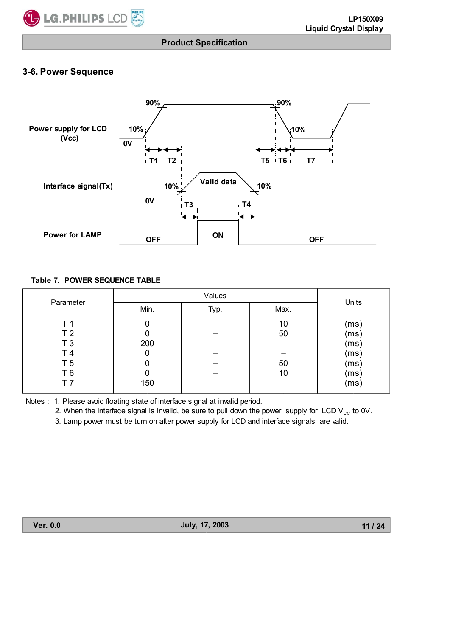

## **3-6. Power Sequence**



#### **Table 7. POWER SEQUENCE TABLE**

| Parameter      |      | Units |      |      |
|----------------|------|-------|------|------|
|                | Min. | Typ.  | Max. |      |
| Т1             |      |       | 10   | (ms) |
| T <sub>2</sub> |      |       | 50   | (ms) |
| T <sub>3</sub> | 200  |       |      | (ms) |
| T 4            |      |       |      | (ms) |
| T <sub>5</sub> |      |       | 50   | (ms) |
| T 6            |      |       | 10   | (ms) |
| т 7            | 150  |       |      | (ms) |

Notes : 1. Please avoid floating state of interface signal at invalid period.

2. When the interface signal is invalid, be sure to pull down the power supply for LCD  $V_{cc}$  to 0V.

3. Lamp power must be turn on after power supply for LCD and interface signals are valid.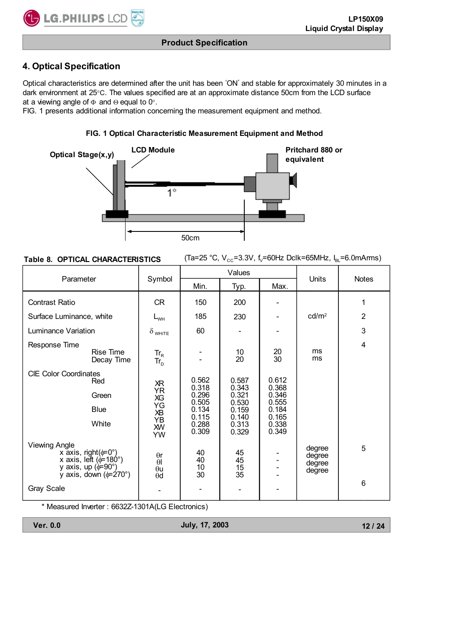# **4. Optical Specification**

LG.PHILIPS LCD

Optical characteristics are determined after the unit has been 'ON' and stable for approximately 30 minutes in a dark environment at 25°C. The values specified are at an approximate distance 50cm from the LCD surface at a viewing angle of  $\Phi$  and  $\Theta$  equal to 0°.

FIG. 1 presents additional information concerning the measurement equipment and method.

#### **FIG. 1 Optical Characteristic Measurement Equipment and Method**



#### **Table 8. OPTICAL CHARACTERISTICS**

(Ta=25 °C,  $V_{cc}$ =3.3V, f<sub>v</sub>=60Hz Dclk=65MHz,  $I_{BL}$ =6.0mArms)

| Parameter                    |                                                                                                                                              |                                                            |                                                                      | Values                                                               |                                                                      | Units                                | <b>Notes</b>    |
|------------------------------|----------------------------------------------------------------------------------------------------------------------------------------------|------------------------------------------------------------|----------------------------------------------------------------------|----------------------------------------------------------------------|----------------------------------------------------------------------|--------------------------------------|-----------------|
|                              |                                                                                                                                              | Symbol                                                     | Min.                                                                 | Typ.                                                                 | Max.                                                                 |                                      |                 |
| <b>Contrast Ratio</b>        |                                                                                                                                              | <b>CR</b>                                                  | 150                                                                  | 200                                                                  |                                                                      |                                      | 1               |
| Surface Luminance, white     |                                                                                                                                              | $L_{WH}$                                                   | 185                                                                  | 230                                                                  |                                                                      | cd/m <sup>2</sup>                    | $\overline{2}$  |
| Luminance Variation          |                                                                                                                                              | $\delta$ white                                             | 60                                                                   |                                                                      |                                                                      |                                      | 3               |
| Response Time                | Rise Time<br>Decay Time                                                                                                                      | $\mathsf{Tr}_{\mathsf{R}}$<br>$Tr_{D}$                     |                                                                      | 10<br>20                                                             | 20<br>30                                                             | ms<br>ms                             | 4               |
| <b>CIE Color Coordinates</b> | Red<br>Green<br><b>Blue</b><br>White                                                                                                         | ЖR<br><b>YR</b><br>XG<br>ΥG<br>ХB<br>YB<br><b>XW</b><br>YW | 0.562<br>0.318<br>0.296<br>0.505<br>0.134<br>0.115<br>0.288<br>0.309 | 0.587<br>0.343<br>0.321<br>0.530<br>0.159<br>0.140<br>0.313<br>0.329 | 0.612<br>0.368<br>0.346<br>0.555<br>0.184<br>0.165<br>0.338<br>0.349 |                                      |                 |
| <b>Viewing Angle</b>         | x axis, right( $\phi = 0^{\circ}$ )<br>x axis, left ( $\phi$ =180°)<br>y axis, up $(\phi = 90^\circ)$<br>y axis, down $(\phi = 270^{\circ})$ | $\theta$ r<br>$\theta$<br>$\theta$ u<br>$\theta$ d         | 40<br>40<br>10<br>30                                                 | 45<br>45<br>15<br>$3\bar{5}$                                         |                                                                      | degree<br>degree<br>degree<br>degree | 5               |
| <b>Gray Scale</b>            |                                                                                                                                              |                                                            |                                                                      |                                                                      |                                                                      |                                      | $6\phantom{1}6$ |

\* Measured Inverter : 6632Z-1301A(LG Electronics)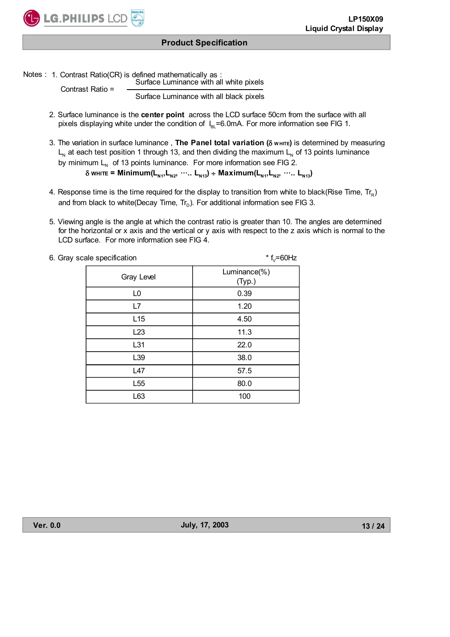

Notes : 1. Contrast Ratio(CR) is defined mathematically as :

Contrast Ratio =

Surface Luminance with all white pixels

Surface Luminance with all black pixels

- 2. Surface luminance is the **center point** across the LCD surface 50cm from the surface with all pixels displaying white under the condition of  $I_{B}$ =6.0mA. For more information see FIG 1.
- 3. The variation in surface luminance, The Panel total variation ( $\delta$  w HITE) is determined by measuring  $L_{N}$  at each test position 1 through 13, and then dividing the maximum  $L_{N}$  of 13 points luminance by minimum  $L<sub>N</sub>$  of 13 points luminance. For more information see FIG 2.  $\delta$  white = Minimum(L<sub>N1</sub>, L<sub>N2</sub>,  $\cdots$ . L<sub>N13</sub>) ÷ Maximum(L<sub>N1</sub>, L<sub>N2</sub>,  $\cdots$ . L<sub>N13</sub>)
- 4. Response time is the time required for the display to transition from white to black(Rise Time,  $Tr_R$ ) and from black to white(Decay Time,  $Tr_D$ ). For additional information see FIG 3.
- 5. Viewing angle is the angle at which the contrast ratio is greater than 10. The angles are determined for the horizontal or x axis and the vertical or y axis with respect to the z axis which is normal to the LCD surface. For more information see FIG 4.

| 6. Gray scale specification | * $f_v = 60$ Hz        |
|-----------------------------|------------------------|
| Gray Level                  | Luminance(%)<br>(Typ.) |
| L <sub>0</sub>              | 0.39                   |
| L7                          | 1.20                   |
| L15                         | 4.50                   |
| L23                         | 11.3                   |
| L31                         | 22.0                   |
| L39                         | 38.0                   |
| L47                         | 57.5                   |
| L <sub>55</sub>             | 80.0                   |
| L63                         | 100                    |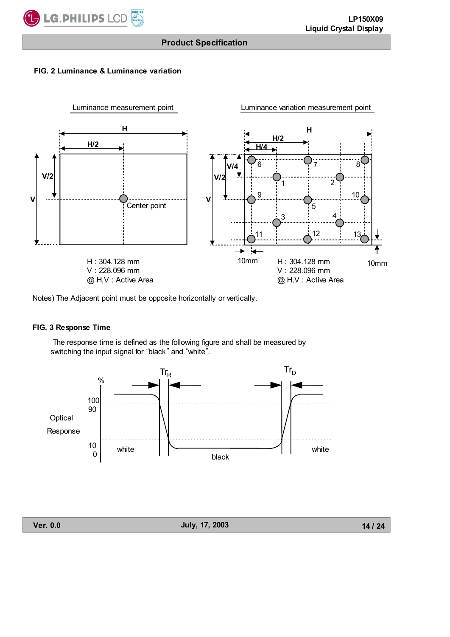

#### **FIG. 2 Luminance & Luminance variation**



Notes) The Adjacent point must be opposite horizontally or vertically.

#### **FIG. 3 Response Time**

 The response time is defined as the following figure and shall be measured by switching the input signal for "black" and "white".



**Ver. 0.0 July, 17, 2003**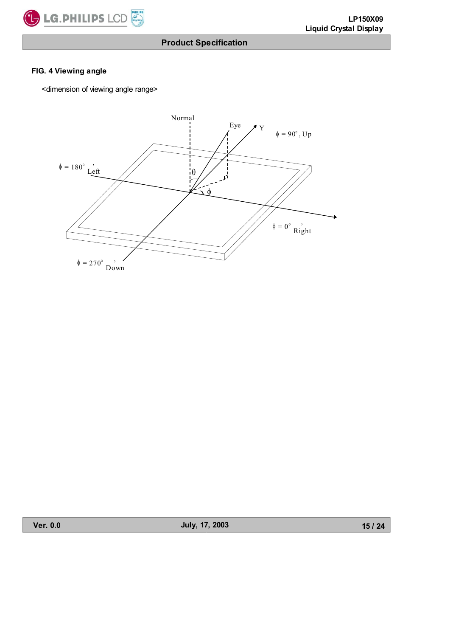

#### **FIG. 4 Viewing angle**

<dimension of viewing angle range>

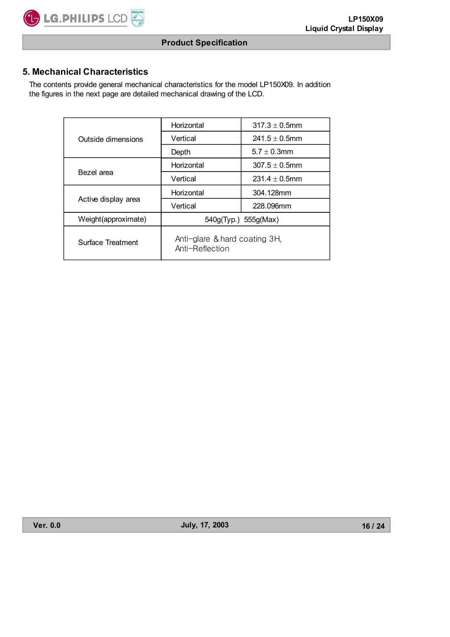# **5. Mechanical Characteristics**

**C** LG.PHILIPS LCD

 The contents provide general mechanical characteristics for the model LP150X09. In addition the figures in the next page are detailed mechanical drawing of the LCD.

|                     | Horizontal                                       | $317.3 \pm 0.5$ mm |  |  |  |
|---------------------|--------------------------------------------------|--------------------|--|--|--|
| Outside dimensions  | Vertical                                         | $241.5 \pm 0.5$ mm |  |  |  |
|                     | Depth                                            | $5.7 \pm 0.3$ mm   |  |  |  |
|                     | Horizontal                                       | $307.5 \pm 0.5$ mm |  |  |  |
| Bezel area          | Vertical                                         | $231.4 \pm 0.5$ mm |  |  |  |
|                     | Horizontal                                       | 304.128mm          |  |  |  |
| Active display area | Vertical                                         | 228.096mm          |  |  |  |
| Weight(approximate) | 540g(Typ.) 555g(Max)                             |                    |  |  |  |
| Surface Treatment   | Anti-glare & hard coating 3H,<br>Anti-Reflection |                    |  |  |  |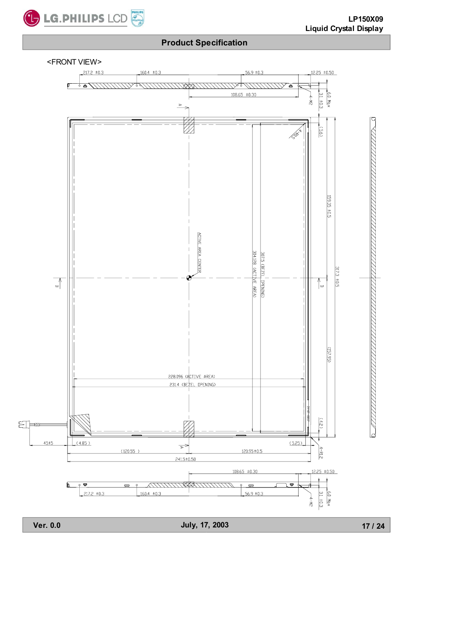

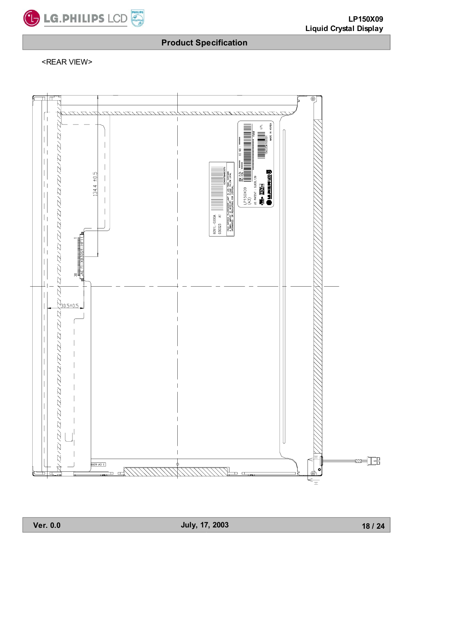

<REAR VIEW>



**Ver. 0.0 July, 17, 2003**

**18 / 24**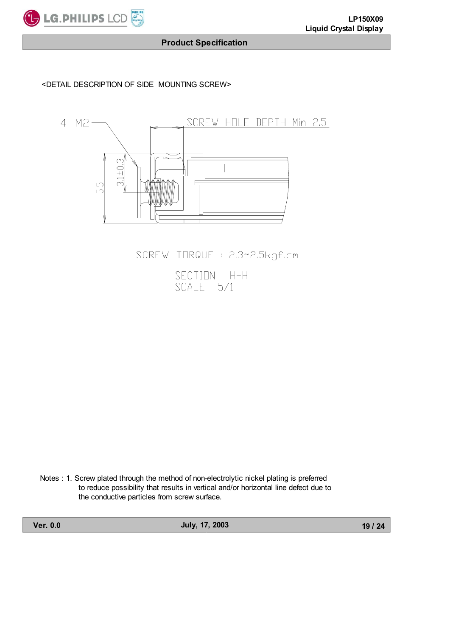

#### <DETAIL DESCRIPTION OF SIDE MOUNTING SCREW>



SCREW TORQUE : 2.3~2.5kgf.cm

SECTION H-H<br>SCALE 5/1

Notes : 1. Screw plated through the method of non-electrolytic nickel plating is preferred to reduce possibility that results in vertical and/or horizontal line defect due to the conductive particles from screw surface.

**Ver. 0.0 July, 17, 2003**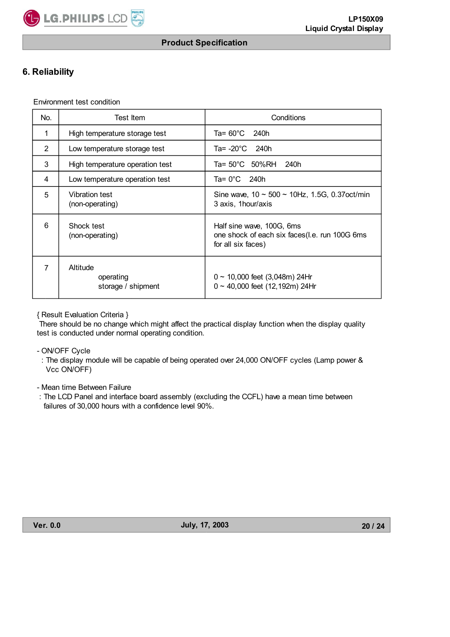

# **6. Reliability**

Environment test condition

| No.            | Test Item                                   | Conditions                                                                                         |  |  |  |  |  |
|----------------|---------------------------------------------|----------------------------------------------------------------------------------------------------|--|--|--|--|--|
| $\mathbf{1}$   | High temperature storage test               | Ta= 60°C<br>240h                                                                                   |  |  |  |  |  |
| $\overline{2}$ | Low temperature storage test                | Ta= $-20^{\circ}$ C<br>240h                                                                        |  |  |  |  |  |
| 3              | High temperature operation test             | Ta= 50°C 50%RH<br>240h                                                                             |  |  |  |  |  |
| 4              | Low temperature operation test              | Ta= $0^{\circ}$ C<br>240h                                                                          |  |  |  |  |  |
| 5              | Vibration test<br>(non-operating)           | Sine wave, $10 \sim 500 \sim 10$ Hz, 1.5G, 0.37 oct/min<br>3 axis, 1 hour/axis                     |  |  |  |  |  |
| 6              | Shock test<br>(non-operating)               | Half sine wave, 100G, 6ms<br>one shock of each six faces (l.e. run 100G 6ms)<br>for all six faces) |  |  |  |  |  |
| 7              | Altitude<br>operating<br>storage / shipment | $0 \sim 10,000$ feet (3,048m) 24Hr<br>$0 \sim 40,000$ feet (12,192m) 24Hr                          |  |  |  |  |  |

{ Result Evaluation Criteria }

 There should be no change which might affect the practical display function when the display quality test is conducted under normal operating condition.

- ON/OFF Cycle

 : The display module will be capable of being operated over 24,000 ON/OFF cycles (Lamp power & Vcc ON/OFF)

- Mean time Between Failure

 : The LCD Panel and interface board assembly (excluding the CCFL) have a mean time between failures of 30,000 hours with a confidence level 90%.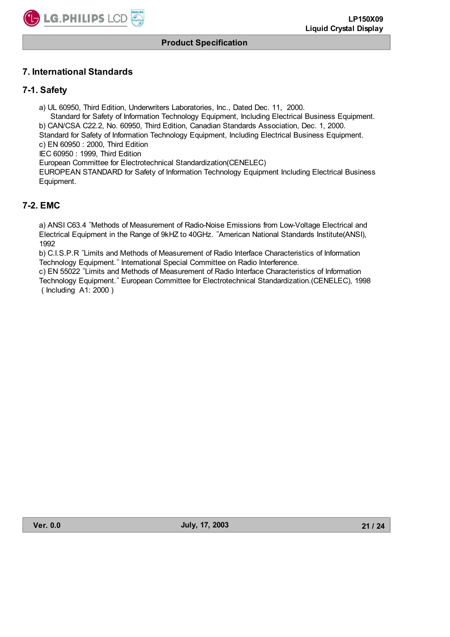

# **7. International Standards**

# **7-1. Safety**

a) UL 60950, Third Edition, Underwriters Laboratories, Inc., Dated Dec. 11, 2000. Standard for Safety of Information Technology Equipment, Including Electrical Business Equipment. b) CAN/CSA C22.2, No. 60950, Third Edition, Canadian Standards Association, Dec. 1, 2000. Standard for Safety of Information Technology Equipment, Including Electrical Business Equipment. c) EN 60950 : 2000, Third Edition IEC 60950 : 1999, Third Edition European Committee for Electrotechnical Standardization(CENELEC)

 EUROPEAN STANDARD for Safety of Information Technology Equipment Including Electrical Business Equipment.

# **7-2. EMC**

a) ANSI C63.4 ˈMethods of Measurement of Radio-Noise Emissions from Low-Voltage Electrical and Electrical Equipment in the Range of 9kHZ to 40GHz. ˈAmerican National Standards Institute(ANSI), 1992

b) C.I.S.P.R ˈLimits and Methods of Measurement of Radio Interface Characteristics of Information Technology Equipment." International Special Committee on Radio Interference.

c) EN 55022 ˈLimits and Methods of Measurement of Radio Interface Characteristics of Information Technology Equipment." European Committee for Electrotechnical Standardization. (CENELEC), 1998 ( Including A1: 2000 )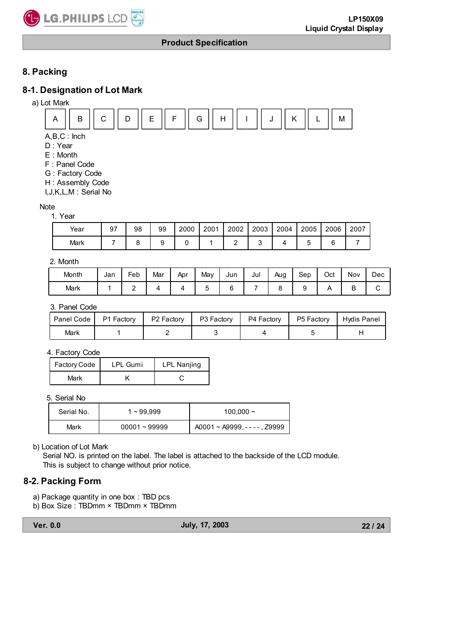

# **8. Packing**

# **8-1. Designation of Lot Mark**

a) Lot Mark



A,B,C : Inch

D : Year

- E : Month
- F : Panel Code
- G : Factory Code
- H : Assembly Code

I,J,K,L,M : Serial No

#### Note

| 1. Year |
|---------|
|---------|

| Year | 97 | 98 | 99 | 2000 | 2001 | 2002 | 2003 | 2004 | 2005 | 2006 | 2007 |
|------|----|----|----|------|------|------|------|------|------|------|------|
| Mark |    |    |    |      |      |      |      |      |      | ⌒    |      |

#### 2. Month

| Month | Jan | Feb | Mar | Apr | May | Jun | Jul | Aug | Sep | Oct | Nov | Dec |
|-------|-----|-----|-----|-----|-----|-----|-----|-----|-----|-----|-----|-----|
| Mark  |     | -   |     |     |     |     |     |     |     |     | −   |     |

#### 3. Panel Code

| Panel Code P1 Factory | P2 Factory | P3 Factory | P4 Factory | P5 Factory | Hydis Panel |
|-----------------------|------------|------------|------------|------------|-------------|
| Mark                  |            |            |            |            |             |

#### 4. Factory Code

| Factory Code | <b>LPL Gumi</b> | <b>LPL Nanjing</b> |
|--------------|-----------------|--------------------|
| Mark         |                 |                    |

5. Serial No

| Serial No. | 1~99.999        | $100,000 \sim$                       |
|------------|-----------------|--------------------------------------|
| Mark       | $00001 - 99999$ | $A0001 \sim A9999$ , - - - - , Z9999 |

#### b) Location of Lot Mark

Serial NO. is printed on the label. The label is attached to the backside of the LCD module. This is subject to change without prior notice.

### **8-2. Packing Form**

- a) Package quantity in one box : TBD pcs
- b) Box Size : TBDmm × TBDmm × TBDmm

**Ver. 0.0 July, 17, 2003**

**22 / 24**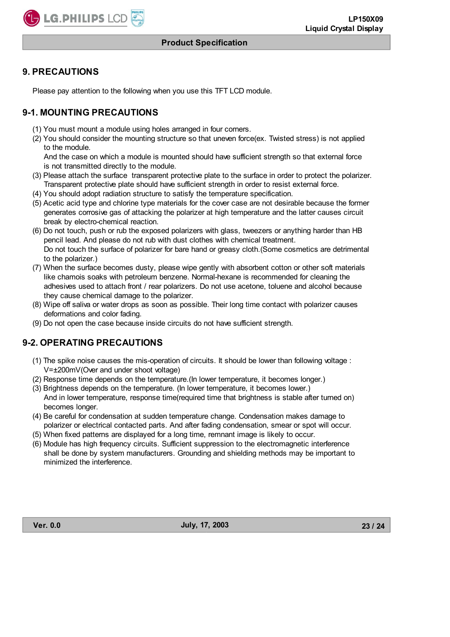

#### **9. PRECAUTIONS**

Please pay attention to the following when you use this TFT LCD module.

# **9-1. MOUNTING PRECAUTIONS**

- (1) You must mount a module using holes arranged in four corners.
- (2) You should consider the mounting structure so that uneven force(ex. Twisted stress) is not applied to the module.

 And the case on which a module is mounted should have sufficient strength so that external force is not transmitted directly to the module.

- (3) Please attach the surface transparent protective plate to the surface in order to protect the polarizer. Transparent protective plate should have sufficient strength in order to resist external force.
- (4) You should adopt radiation structure to satisfy the temperature specification.
- (5) Acetic acid type and chlorine type materials for the cover case are not desirable because the former generates corrosive gas of attacking the polarizer at high temperature and the latter causes circuit break by electro-chemical reaction.
- (6) Do not touch, push or rub the exposed polarizers with glass, tweezers or anything harder than HB pencil lead. And please do not rub with dust clothes with chemical treatment. Do not touch the surface of polarizer for bare hand or greasy cloth.(Some cosmetics are detrimental to the polarizer.)
- (7) When the surface becomes dusty, please wipe gently with absorbent cotton or other soft materials like chamois soaks with petroleum benzene. Normal-hexane is recommended for cleaning the adhesives used to attach front / rear polarizers. Do not use acetone, toluene and alcohol because they cause chemical damage to the polarizer.
- (8) Wipe off saliva or water drops as soon as possible. Their long time contact with polarizer causes deformations and color fading.
- (9) Do not open the case because inside circuits do not have sufficient strength.

### **9-2. OPERATING PRECAUTIONS**

- (1) The spike noise causes the mis-operation of circuits. It should be lower than following voltage : V=±200mV(Over and under shoot voltage)
- (2) Response time depends on the temperature.(In lower temperature, it becomes longer.)
- (3) Brightness depends on the temperature. (In lower temperature, it becomes lower.) And in lower temperature, response time(required time that brightness is stable after turned on) becomes longer.
- (4) Be careful for condensation at sudden temperature change. Condensation makes damage to polarizer or electrical contacted parts. And after fading condensation, smear or spot will occur.
- (5) When fixed patterns are displayed for a long time, remnant image is likely to occur.
- (6) Module has high frequency circuits. Sufficient suppression to the electromagnetic interference shall be done by system manufacturers. Grounding and shielding methods may be important to minimized the interference.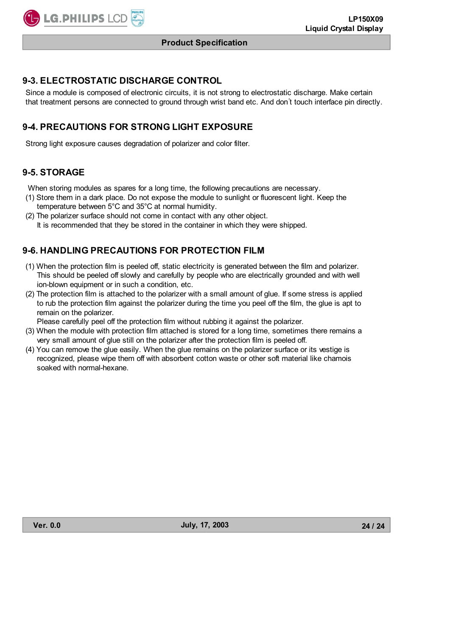

#### **9-3. ELECTROSTATIC DISCHARGE CONTROL**

Since a module is composed of electronic circuits, it is not strong to electrostatic discharge. Make certain that treatment persons are connected to ground through wrist band etc. And don't touch interface pin directly.

# **9-4. PRECAUTIONS FOR STRONG LIGHT EXPOSURE**

Strong light exposure causes degradation of polarizer and color filter.

#### **9-5. STORAGE**

When storing modules as spares for a long time, the following precautions are necessary.

- (1) Store them in a dark place. Do not expose the module to sunlight or fluorescent light. Keep the temperature between 5°C and 35°C at normal humidity.
- (2) The polarizer surface should not come in contact with any other object.
	- It is recommended that they be stored in the container in which they were shipped.

### **9-6. HANDLING PRECAUTIONS FOR PROTECTION FILM**

- (1) When the protection film is peeled off, static electricity is generated between the film and polarizer. This should be peeled off slowly and carefully by people who are electrically grounded and with well ion-blown equipment or in such a condition, etc.
- (2) The protection film is attached to the polarizer with a small amount of glue. If some stress is applied to rub the protection film against the polarizer during the time you peel off the film, the glue is apt to remain on the polarizer.

Please carefully peel off the protection film without rubbing it against the polarizer.

- (3) When the module with protection film attached is stored for a long time, sometimes there remains a very small amount of glue still on the polarizer after the protection film is peeled off.
- (4) You can remove the glue easily. When the glue remains on the polarizer surface or its vestige is recognized, please wipe them off with absorbent cotton waste or other soft material like chamois soaked with normal-hexane.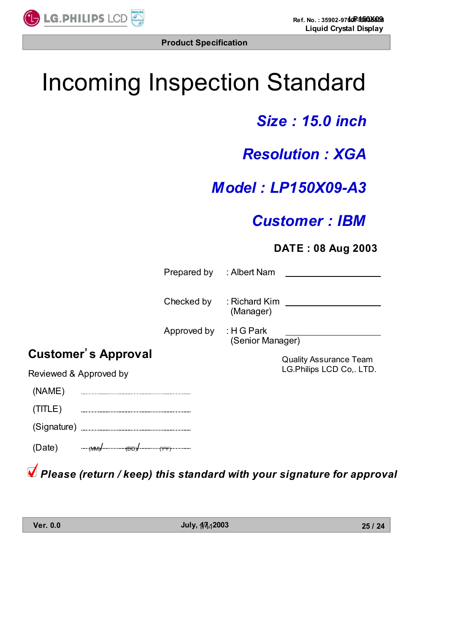

# Incoming Inspection Standard

# *Size : 15.0 inch*

# *Resolution : XGA*

# *Model : LP150X09-A3*

# *Customer : IBM*

# **DATE : 08 Aug 2003**

|        | Prepared by : Albert Nam |                            |                               |
|--------|--------------------------|----------------------------|-------------------------------|
|        |                          |                            |                               |
|        | Checked by               | : Richard Kim<br>(Manager) |                               |
|        |                          |                            |                               |
|        | Approved by : H G Park   | (Senior Manager)           |                               |
| proval |                          |                            | <b>Quality Assurance Team</b> |
| d by   |                          |                            | LG.Philips LCD Co,. LTD.      |
|        |                          |                            |                               |
|        |                          |                            |                               |
|        |                          |                            |                               |
|        |                          |                            |                               |

**Customer's Ap** 

Reviewed & Approve

 (NAME) . . . . . . . . . . . . . . . . . . . . (TITLE) . . . . . . . . . . . . . . . . . . . .

(Signature)

 $(Date)$  (Date)  $\frac{1}{(MMP)^{1} \cdot \dots \cdot (BDB)^{1} \cdot \dots \cdot (MMP)}$ 

*Please (return / keep) this standard with your signature for approval*

**Ver. 0.0 July, 17, 2003** 1/11

**25 / 24**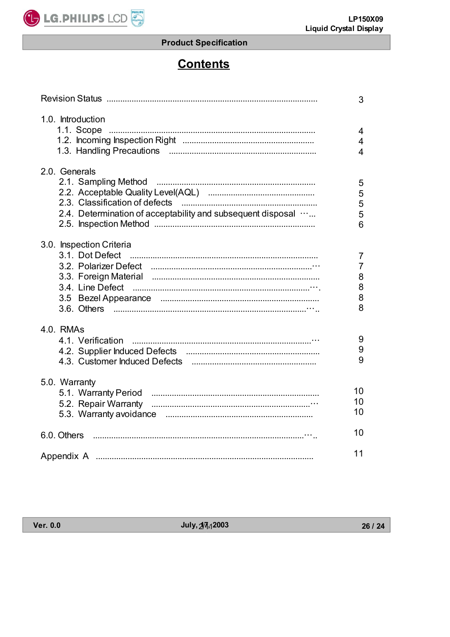

# **Contents**

|                                                                              | 3                                   |
|------------------------------------------------------------------------------|-------------------------------------|
| 1.0. Introduction<br>1.1. Scope                                              | 4<br>$\overline{4}$<br>4            |
| 2.0. Generals<br>2.4. Determination of acceptability and subsequent disposal | 5<br>5<br>5<br>5<br>$6\phantom{1}6$ |
| 3.0. Inspection Criteria                                                     | 7<br>7<br>8<br>8<br>8<br>8          |
| 4.0. RMAs<br>4.1. Verification                                               | 9<br>9<br>9                         |
| 5.0. Warranty                                                                | 10<br>10<br>10                      |
| 6.0. Others                                                                  | 10                                  |
|                                                                              | 11                                  |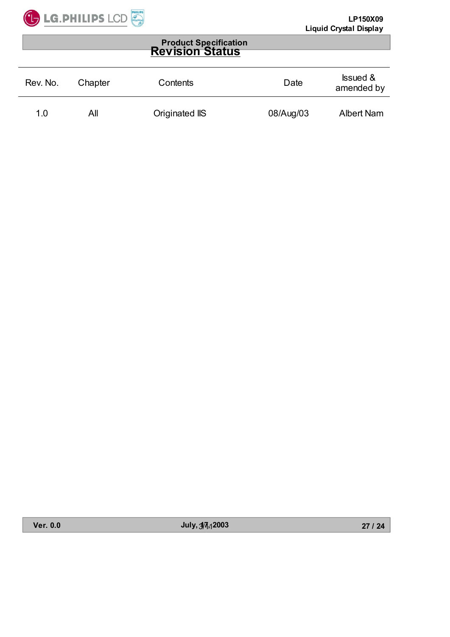

#### **Product Specification Revision Status**

| Rev. No. | Chapter | Contents       | Date      | <b>Issued &amp;</b><br>amended by |
|----------|---------|----------------|-----------|-----------------------------------|
| 1.0      | All     | Originated IIS | 08/Aug/03 | <b>Albert Nam</b>                 |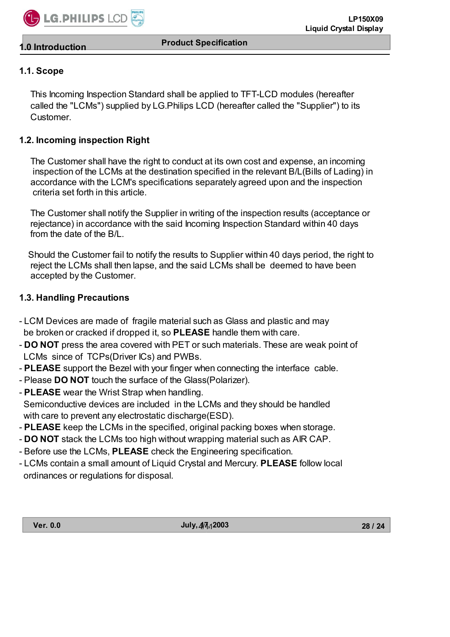

# **1.1. Scope**

**1.0 Introduction**

 This Incoming Inspection Standard shall be applied to TFT-LCD modules (hereafter called the "LCMs") supplied by LG.Philips LCD (hereafter called the "Supplier") to its **Customer** 

# **1.2. Incoming inspection Right**

 The Customer shall have the right to conduct at its own cost and expense, an incoming inspection of the LCMs at the destination specified in the relevant B/L(Bills of Lading) in accordance with the LCM's specifications separately agreed upon and the inspection criteria set forth in this article.

 The Customer shall notify the Supplier in writing of the inspection results (acceptance or rejectance) in accordance with the said Incoming Inspection Standard within 40 days from the date of the B/L.

 Should the Customer fail to notify the results to Supplier within 40 days period, the right to reject the LCMs shall then lapse, and the said LCMs shall be deemed to have been accepted by the Customer.

### **1.3. Handling Precautions**

- LCM Devices are made of fragile material such as Glass and plastic and may be broken or cracked if dropped it, so **PLEASE** handle them with care.
- **DO NOT** press the area covered with PET or such materials. These are weak point of LCMs since of TCPs(Driver ICs) and PWBs.
- **PLEASE** support the Bezel with your finger when connecting the interface cable.
- Please **DO NOT** touch the surface of the Glass(Polarizer).
- **PLEASE** wear the Wrist Strap when handling.

 Semiconductive devices are included in the LCMs and they should be handled with care to prevent any electrostatic discharge(ESD).

- **PLEASE** keep the LCMs in the specified, original packing boxes when storage.
- **DO NOT** stack the LCMs too high without wrapping material such as AIR CAP.
- Before use the LCMs, **PLEASE** check the Engineering specification.
- LCMs contain a small amount of Liquid Crystal and Mercury. **PLEASE** follow local ordinances or regulations for disposal.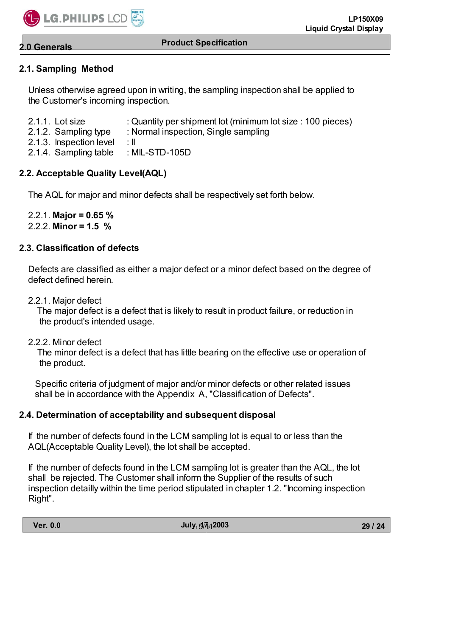

# **2.0 Generals**

#### **Product Specification**

# **2.1. Sampling Method**

 Unless otherwise agreed upon in writing, the sampling inspection shall be applied to the Customer's incoming inspection.

- 2.1.1. Lot size : Quantity per shipment lot (minimum lot size : 100 pieces)
- 2.1.2. Sampling type : Normal inspection, Single sampling
- 2.1.3. Inspection level : II
- 2.1.4. Sampling table : MIL-STD-105D

# **2.2. Acceptable Quality Level(AQL)**

The AQL for major and minor defects shall be respectively set forth below.

 2.2.1. **Major = 0.65 %** 2.2.2. **Minor = 1.5 %**

# **2.3. Classification of defects**

 Defects are classified as either a major defect or a minor defect based on the degree of defect defined herein.

2.2.1. Major defect

 The major defect is a defect that is likely to result in product failure, or reduction in the product's intended usage.

2.2.2. Minor defect

 The minor defect is a defect that has little bearing on the effective use or operation of the product.

 Specific criteria of judgment of major and/or minor defects or other related issues shall be in accordance with the Appendix A, "Classification of Defects".

### **2.4. Determination of acceptability and subsequent disposal**

 If the number of defects found in the LCM sampling lot is equal to or less than the AQL(Acceptable Quality Level), the lot shall be accepted.

 If the number of defects found in the LCM sampling lot is greater than the AQL, the lot shall be rejected. The Customer shall inform the Supplier of the results of such inspection detailly within the time period stipulated in chapter 1.2. "Incoming inspection Right".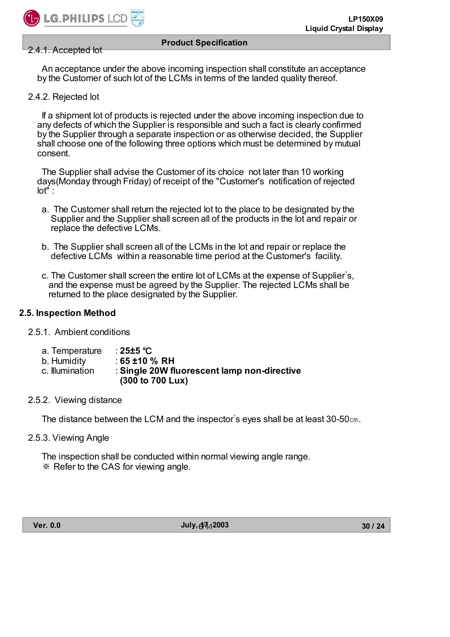

#### 2.4.1. Accepted lot

 An acceptance under the above incoming inspection shall constitute an acceptance by the Customer of such lot of the LCMs in terms of the landed quality thereof.

2.4.2. Rejected lot

 If a shipment lot of products is rejected under the above incoming inspection due to any defects of which the Supplier is responsible and such a fact is clearly confirmed by the Supplier through a separate inspection or as otherwise decided, the Supplier shall choose one of the following three options which must be determined by mutual consent.

 The Supplier shall advise the Customer of its choice not later than 10 working days(Monday through Friday) of receipt of the "Customer's notification of rejected lot" :

- a. The Customer shall return the rejected lot to the place to be designated by the Supplier and the Supplier shall screen all of the products in the lot and repair or replace the defective LCMs.
- b. The Supplier shall screen all of the LCMs in the lot and repair or replace the defective LCMs within a reasonable time period at the Customer's facility.
- c. The Customer shall screen the entire lot of LCMs at the expense of Supplier's, and the expense must be agreed by the Supplier. The rejected LCMs shall be returned to the place designated by the Supplier.

#### **2.5. Inspection Method**

- 2.5.1. Ambient conditions
	- a. Temperature : 25±5 °C
	- b. Humidity : **65 ±10 % RH**
	- c. Illumination : **Single 20W fluorescent lamp non-directive (300 to 700 Lux)**
- 2.5.2. Viewing distance

The distance between the LCM and the inspector's eyes shall be at least  $30\n-50$  cm.

2.5.3. Viewing Angle

The inspection shall be conducted within normal viewing angle range. ͑ ఐ͑Refer to the CAS for viewing angle.

**Ver. 0.0 July, 17, 2003** 6/11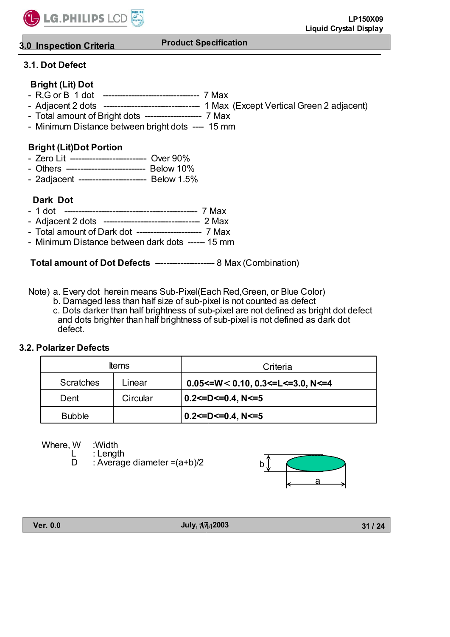

# **3.0 Inspection Criteria**

# **3.1. Dot Defect**

# **Bright (Lit) Dot**

- R,G or B 1 dot ---------------------------------- 7 Max
- Adjacent 2 dots ---------------------------------- 1 Max (Except Vertical Green 2 adjacent)
- Total amount of Bright dots -------------------- 7 Max
- Minimum Distance between bright dots ---- 15 mm

# **Bright (Lit)Dot Portion**

- Zero Lit --------------------------- Over 90%
- Others ---------------------------- Below 10%
- 2adjacent ------------------------ Below 1.5%

# **Dark Dot**

- 1 dot ----------------------------------------------- 7 Max
- Adjacent 2 dots ---------------------------------- 2 Max
- Total amount of Dark dot ----------------------- 7 Max
- Minimum Distance between dark dots ------ 15 mm

 **Total amount of Dot Defects** --------------------- 8 Max (Combination)

Note) a. Every dot herein means Sub-Pixel(Each Red,Green, or Blue Color)

 b. Damaged less than half size of sub-pixel is not counted as defect c. Dots darker than half brightness of sub-pixel are not defined as bright dot defect and dots brighter than half brightness of sub-pixel is not defined as dark dot defect.

### **3.2. Polarizer Defects**

|                  | ltems    | Criteria                                               |
|------------------|----------|--------------------------------------------------------|
| <b>Scratches</b> | Linear   | $0.05 \leq W \leq 0.10, 0.3 \leq L \leq 3.0, N \leq 4$ |
| Dent             | Circular | 0.2<=D<=0.4, N<=5                                      |
| <b>Bubble</b>    |          | $0.2$ <= D <= 0.4, N <= 5                              |

Where, W :Width

L : Length<br>D : Averag : Average diameter  $=(a+b)/2$ 



**Ver. 0.0 July, 17, 2003** 7/11

**31 / 24**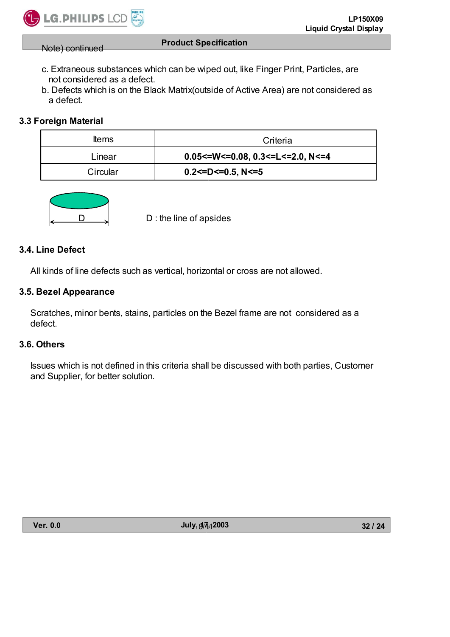Note) continued

 c. Extraneous substances which can be wiped out, like Finger Print, Particles, are not considered as a defect.

**Product Specification**

 b. Defects which is on the Black Matrix(outside of Active Area) are not considered as a defect.

# **3.3 Foreign Material**

| <b>Items</b> | Criteria                            |
|--------------|-------------------------------------|
| Linear       | $0.05$ <=W<=0.08, 0.3<=L<=2.0, N<=4 |
| Circular     | $0.2$ <=D<=0.5, N<=5                |



 $D$  : the line of apsides

### **3.4. Line Defect**

All kinds of line defects such as vertical, horizontal or cross are not allowed.

### **3.5. Bezel Appearance**

 Scratches, minor bents, stains, particles on the Bezel frame are not considered as a defect.

# **3.6. Others**

 Issues which is not defined in this criteria shall be discussed with both parties, Customer and Supplier, for better solution.

**Ver. 0.0 July, 17, 2003** 8/11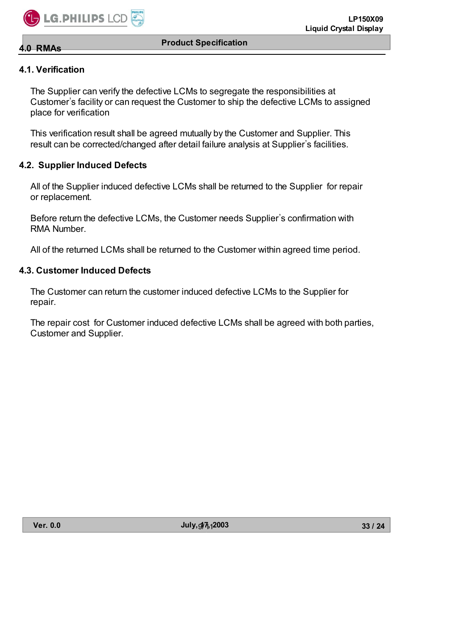

**4.1. Verification**

**4.0 RMAs**

 The Supplier can verify the defective LCMs to segregate the responsibilities at Customer's facility or can request the Customer to ship the defective LCMs to assigned place for verification

 This verification result shall be agreed mutually by the Customer and Supplier. This result can be corrected/changed after detail failure analysis at Supplier's facilities.

#### **4.2. Supplier Induced Defects**

 All of the Supplier induced defective LCMs shall be returned to the Supplier for repair or replacement.

Before return the defective LCMs, the Customer needs Supplier's confirmation with RMA Number.

All of the returned LCMs shall be returned to the Customer within agreed time period.

#### **4.3. Customer Induced Defects**

 The Customer can return the customer induced defective LCMs to the Supplier for repair.

 The repair cost for Customer induced defective LCMs shall be agreed with both parties, Customer and Supplier.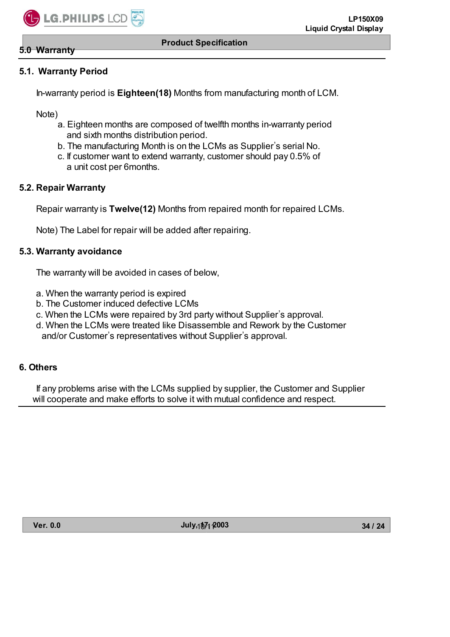#### **5.0 Warranty**

# **5.1. Warranty Period**

In-warranty period is **Eighteen(18)** Months from manufacturing month of LCM.

Note)

- a. Eighteen months are composed of twelfth months in-warranty period and sixth months distribution period.
- b. The manufacturing Month is on the LCMs as Supplier's serial No.
- c. If customer want to extend warranty, customer should pay 0.5% of a unit cost per 6months.

### **5.2. Repair Warranty**

Repair warranty is **Twelve(12)** Months from repaired month for repaired LCMs.

Note) The Label for repair will be added after repairing.

### **5.3. Warranty avoidance**

The warranty will be avoided in cases of below,

- a. When the warranty period is expired
- b. The Customer induced defective LCMs
- c. When the LCMs were repaired by 3rd party without Supplier's approval.
- d. When the LCMs were treated like Disassemble and Rework by the Customer and/or Customer's representatives without Supplier's approval.

### **6. Others**

If any problems arise with the LCMs supplied by supplier, the Customer and Supplier will cooperate and make efforts to solve it with mutual confidence and respect.

**Ver. 0.0 July, 17, 2003** 10/11